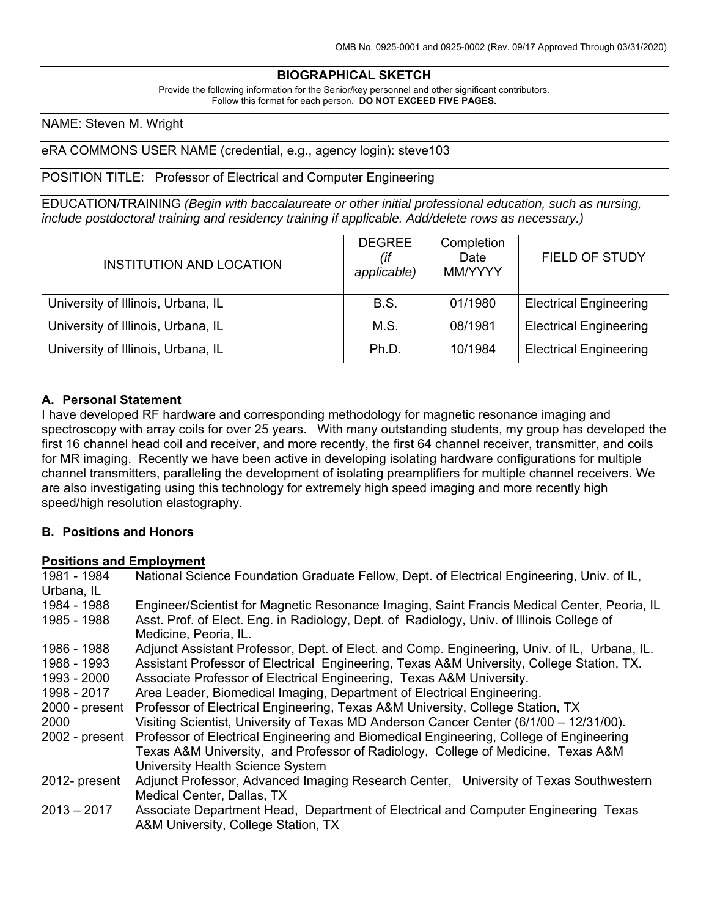## **BIOGRAPHICAL SKETCH**

Provide the following information for the Senior/key personnel and other significant contributors. Follow this format for each person. **DO NOT EXCEED FIVE PAGES.**

### NAME: Steven M. Wright

## eRA COMMONS USER NAME (credential, e.g., agency login): steve103

### POSITION TITLE: Professor of Electrical and Computer Engineering

EDUCATION/TRAINING *(Begin with baccalaureate or other initial professional education, such as nursing, include postdoctoral training and residency training if applicable. Add/delete rows as necessary.)*

| <b>INSTITUTION AND LOCATION</b>    | <b>DEGREE</b><br>(if<br>applicable) | Completion<br>Date<br>MM/YYYY | <b>FIELD OF STUDY</b>         |
|------------------------------------|-------------------------------------|-------------------------------|-------------------------------|
| University of Illinois, Urbana, IL | B.S.                                | 01/1980                       | <b>Electrical Engineering</b> |
| University of Illinois, Urbana, IL | M.S.                                | 08/1981                       | <b>Electrical Engineering</b> |
| University of Illinois, Urbana, IL | Ph.D.                               | 10/1984                       | <b>Electrical Engineering</b> |

### **A. Personal Statement**

I have developed RF hardware and corresponding methodology for magnetic resonance imaging and spectroscopy with array coils for over 25 years. With many outstanding students, my group has developed the first 16 channel head coil and receiver, and more recently, the first 64 channel receiver, transmitter, and coils for MR imaging. Recently we have been active in developing isolating hardware configurations for multiple channel transmitters, paralleling the development of isolating preamplifiers for multiple channel receivers. We are also investigating using this technology for extremely high speed imaging and more recently high speed/high resolution elastography.

#### **B. Positions and Honors**

## **Positions and Employment**

| ו סטונוטווט מוומ בוווטוט וויטוונט |                                                                                              |
|-----------------------------------|----------------------------------------------------------------------------------------------|
| 1981 - 1984                       | National Science Foundation Graduate Fellow, Dept. of Electrical Engineering, Univ. of IL,   |
| Urbana, IL                        |                                                                                              |
| 1984 - 1988                       | Engineer/Scientist for Magnetic Resonance Imaging, Saint Francis Medical Center, Peoria, IL  |
| 1985 - 1988                       | Asst. Prof. of Elect. Eng. in Radiology, Dept. of Radiology, Univ. of Illinois College of    |
|                                   | Medicine, Peoria, IL.                                                                        |
| 1986 - 1988                       | Adjunct Assistant Professor, Dept. of Elect. and Comp. Engineering, Univ. of IL, Urbana, IL. |
| 1988 - 1993                       | Assistant Professor of Electrical Engineering, Texas A&M University, College Station, TX.    |
| 1993 - 2000                       | Associate Professor of Electrical Engineering, Texas A&M University.                         |
| 1998 - 2017                       | Area Leader, Biomedical Imaging, Department of Electrical Engineering.                       |
| 2000 - present                    | Professor of Electrical Engineering, Texas A&M University, College Station, TX               |
| 2000                              | Visiting Scientist, University of Texas MD Anderson Cancer Center (6/1/00 - 12/31/00).       |
| 2002 - present                    | Professor of Electrical Engineering and Biomedical Engineering, College of Engineering       |
|                                   | Texas A&M University, and Professor of Radiology, College of Medicine, Texas A&M             |
|                                   | University Health Science System                                                             |
| 2012- present                     | Adjunct Professor, Advanced Imaging Research Center, University of Texas Southwestern        |
|                                   | Medical Center, Dallas, TX                                                                   |
| $2013 - 2017$                     | Associate Department Head, Department of Electrical and Computer Engineering Texas           |
|                                   | A&M University, College Station, TX                                                          |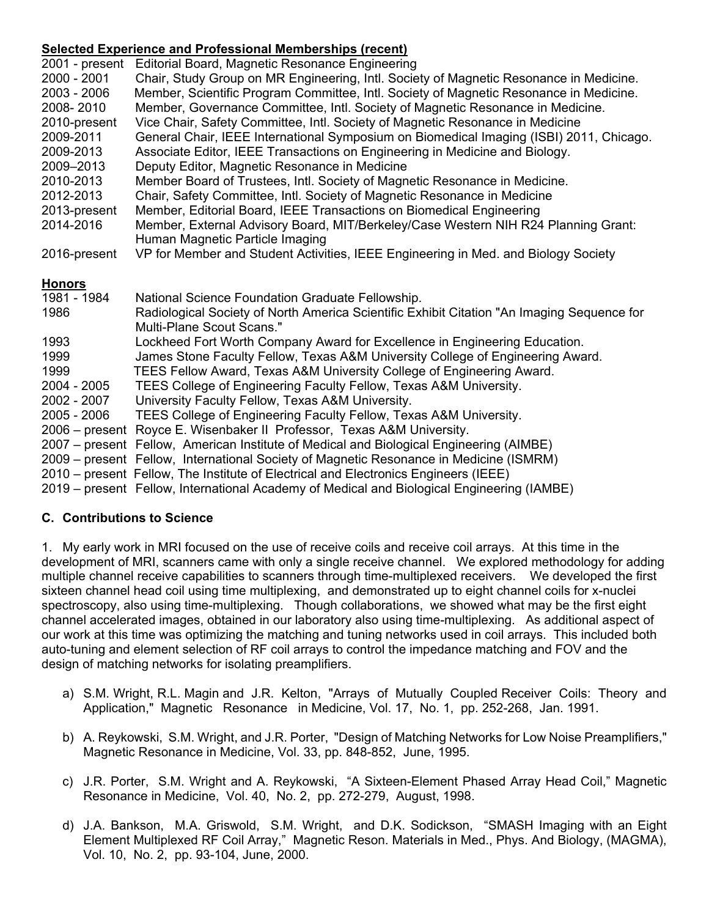## **Selected Experience and Professional Memberships (recent)**

| 2001 - present | Editorial Board, Magnetic Resonance Engineering                                            |
|----------------|--------------------------------------------------------------------------------------------|
| 2000 - 2001    | Chair, Study Group on MR Engineering, Intl. Society of Magnetic Resonance in Medicine.     |
| 2003 - 2006    | Member, Scientific Program Committee, Intl. Society of Magnetic Resonance in Medicine.     |
| 2008-2010      | Member, Governance Committee, Intl. Society of Magnetic Resonance in Medicine.             |
| 2010-present   | Vice Chair, Safety Committee, Intl. Society of Magnetic Resonance in Medicine              |
| 2009-2011      | General Chair, IEEE International Symposium on Biomedical Imaging (ISBI) 2011, Chicago.    |
| 2009-2013      | Associate Editor, IEEE Transactions on Engineering in Medicine and Biology.                |
| 2009-2013      | Deputy Editor, Magnetic Resonance in Medicine                                              |
| 2010-2013      | Member Board of Trustees, Intl. Society of Magnetic Resonance in Medicine.                 |
| 2012-2013      | Chair, Safety Committee, Intl. Society of Magnetic Resonance in Medicine                   |
| 2013-present   | Member, Editorial Board, IEEE Transactions on Biomedical Engineering                       |
| 2014-2016      | Member, External Advisory Board, MIT/Berkeley/Case Western NIH R24 Planning Grant:         |
|                | Human Magnetic Particle Imaging                                                            |
| 2016-present   | VP for Member and Student Activities, IEEE Engineering in Med. and Biology Society         |
| <b>Honors</b>  |                                                                                            |
| 1981 - 1984    | National Science Foundation Graduate Fellowship.                                           |
| 1986           | Radiological Society of North America Scientific Exhibit Citation "An Imaging Sequence for |
|                | Multi-Plane Scout Scans."                                                                  |
| 1993           | Lockheed Fort Worth Company Award for Excellence in Engineering Education.                 |
| 1999           | James Stone Faculty Fellow, Texas A&M University College of Engineering Award.             |
| 1999           | TEES Fellow Award, Texas A&M University College of Engineering Award.                      |
| 2004 - 2005    | TEES College of Engineering Faculty Fellow, Texas A&M University.                          |
| 2002 - 2007    | University Faculty Fellow, Texas A&M University.                                           |
| 2005 - 2006    | TEES College of Engineering Faculty Fellow, Texas A&M University.                          |
|                | 2006 – present Royce E. Wisenbaker II Professor, Texas A&M University.                     |
|                | 2007 – present Fellow, American Institute of Medical and Biological Engineering (AIMBE)    |
|                | 2009 – present Fellow, International Society of Magnetic Resonance in Medicine (ISMRM)     |
|                | 2010 – present Fellow, The Institute of Electrical and Electronics Engineers (IEEE)        |
|                | 2019 – present Fellow, International Academy of Medical and Biological Engineering (IAMBE) |

## **C. Contributions to Science**

1. My early work in MRI focused on the use of receive coils and receive coil arrays. At this time in the development of MRI, scanners came with only a single receive channel. We explored methodology for adding multiple channel receive capabilities to scanners through time-multiplexed receivers. We developed the first sixteen channel head coil using time multiplexing, and demonstrated up to eight channel coils for x-nuclei spectroscopy, also using time-multiplexing. Though collaborations, we showed what may be the first eight channel accelerated images, obtained in our laboratory also using time-multiplexing. As additional aspect of our work at this time was optimizing the matching and tuning networks used in coil arrays. This included both auto-tuning and element selection of RF coil arrays to control the impedance matching and FOV and the design of matching networks for isolating preamplifiers.

- a) S.M. Wright, R.L. Magin and J.R. Kelton, "Arrays of Mutually Coupled Receiver Coils: Theory and Application," Magnetic Resonance in Medicine, Vol. 17, No. 1, pp. 252-268, Jan. 1991.
- b) A. Reykowski, S.M. Wright, and J.R. Porter, "Design of Matching Networks for Low Noise Preamplifiers," Magnetic Resonance in Medicine, Vol. 33, pp. 848-852, June, 1995.
- c) J.R. Porter, S.M. Wright and A. Reykowski, "A Sixteen-Element Phased Array Head Coil," Magnetic Resonance in Medicine, Vol. 40, No. 2, pp. 272-279, August, 1998.
- d) J.A. Bankson, M.A. Griswold, S.M. Wright, and D.K. Sodickson, "SMASH Imaging with an Eight Element Multiplexed RF Coil Array," Magnetic Reson. Materials in Med., Phys. And Biology, (MAGMA), Vol. 10, No. 2, pp. 93-104, June, 2000.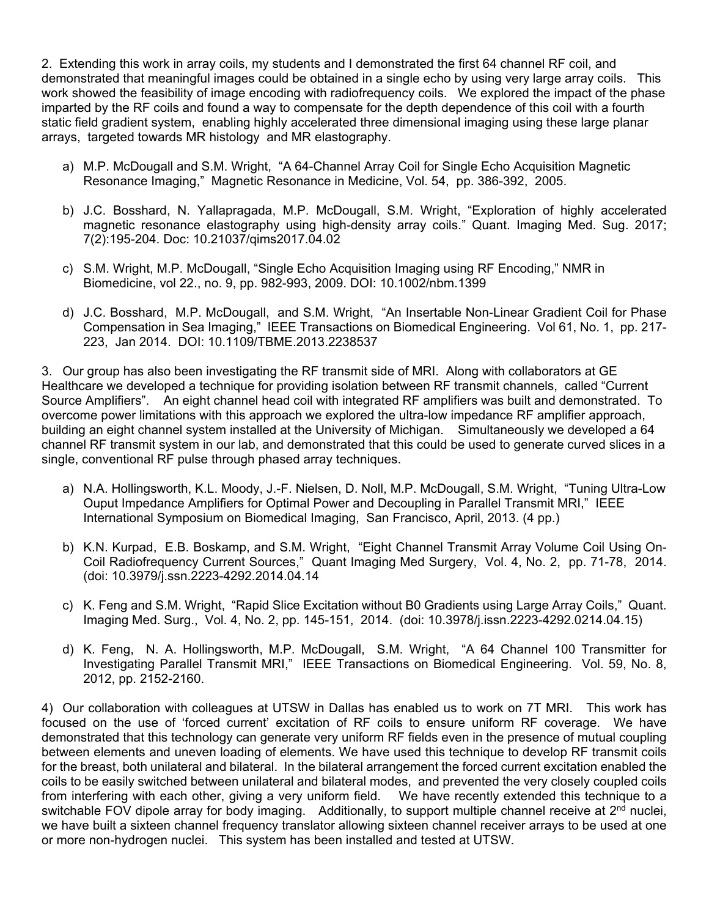2. Extending this work in array coils, my students and I demonstrated the first 64 channel RF coil, and demonstrated that meaningful images could be obtained in a single echo by using very large array coils. This work showed the feasibility of image encoding with radiofrequency coils. We explored the impact of the phase imparted by the RF coils and found a way to compensate for the depth dependence of this coil with a fourth static field gradient system, enabling highly accelerated three dimensional imaging using these large planar arrays, targeted towards MR histology and MR elastography.

- a) M.P. McDougall and S.M. Wright, "A 64-Channel Array Coil for Single Echo Acquisition Magnetic Resonance Imaging," Magnetic Resonance in Medicine, Vol. 54, pp. 386-392, 2005.
- b) J.C. Bosshard, N. Yallapragada, M.P. McDougall, S.M. Wright, "Exploration of highly accelerated magnetic resonance elastography using high-density array coils." Quant. Imaging Med. Sug. 2017; 7(2):195-204. Doc: 10.21037/qims2017.04.02
- c) S.M. Wright, M.P. McDougall, "Single Echo Acquisition Imaging using RF Encoding," NMR in Biomedicine, vol 22., no. 9, pp. 982-993, 2009. DOI: 10.1002/nbm.1399
- d) J.C. Bosshard, M.P. McDougall, and S.M. Wright, "An Insertable Non-Linear Gradient Coil for Phase Compensation in Sea Imaging," IEEE Transactions on Biomedical Engineering. Vol 61, No. 1, pp. 217- 223, Jan 2014. DOI: 10.1109/TBME.2013.2238537

3. Our group has also been investigating the RF transmit side of MRI. Along with collaborators at GE Healthcare we developed a technique for providing isolation between RF transmit channels, called "Current Source Amplifiers". An eight channel head coil with integrated RF amplifiers was built and demonstrated. To overcome power limitations with this approach we explored the ultra-low impedance RF amplifier approach, building an eight channel system installed at the University of Michigan. Simultaneously we developed a 64 channel RF transmit system in our lab, and demonstrated that this could be used to generate curved slices in a single, conventional RF pulse through phased array techniques.

- a) N.A. Hollingsworth, K.L. Moody, J.-F. Nielsen, D. Noll, M.P. McDougall, S.M. Wright, "Tuning Ultra-Low Ouput Impedance Amplifiers for Optimal Power and Decoupling in Parallel Transmit MRI," IEEE International Symposium on Biomedical Imaging, San Francisco, April, 2013. (4 pp.)
- b) K.N. Kurpad, E.B. Boskamp, and S.M. Wright, "Eight Channel Transmit Array Volume Coil Using On-Coil Radiofrequency Current Sources," Quant Imaging Med Surgery, Vol. 4, No. 2, pp. 71-78, 2014. (doi: 10.3979/j.ssn.2223-4292.2014.04.14
- c) K. Feng and S.M. Wright, "Rapid Slice Excitation without B0 Gradients using Large Array Coils," Quant. Imaging Med. Surg., Vol. 4, No. 2, pp. 145-151, 2014. (doi: 10.3978/j.issn.2223-4292.0214.04.15)
- d) K. Feng, N. A. Hollingsworth, M.P. McDougall, S.M. Wright, "A 64 Channel 100 Transmitter for Investigating Parallel Transmit MRI," IEEE Transactions on Biomedical Engineering. Vol. 59, No. 8, 2012, pp. 2152-2160.

4) Our collaboration with colleagues at UTSW in Dallas has enabled us to work on 7T MRI. This work has focused on the use of 'forced current' excitation of RF coils to ensure uniform RF coverage. We have demonstrated that this technology can generate very uniform RF fields even in the presence of mutual coupling between elements and uneven loading of elements. We have used this technique to develop RF transmit coils for the breast, both unilateral and bilateral. In the bilateral arrangement the forced current excitation enabled the coils to be easily switched between unilateral and bilateral modes, and prevented the very closely coupled coils from interfering with each other, giving a very uniform field. We have recently extended this technique to a switchable FOV dipole array for body imaging. Additionally, to support multiple channel receive at 2<sup>nd</sup> nuclei, we have built a sixteen channel frequency translator allowing sixteen channel receiver arrays to be used at one or more non-hydrogen nuclei. This system has been installed and tested at UTSW.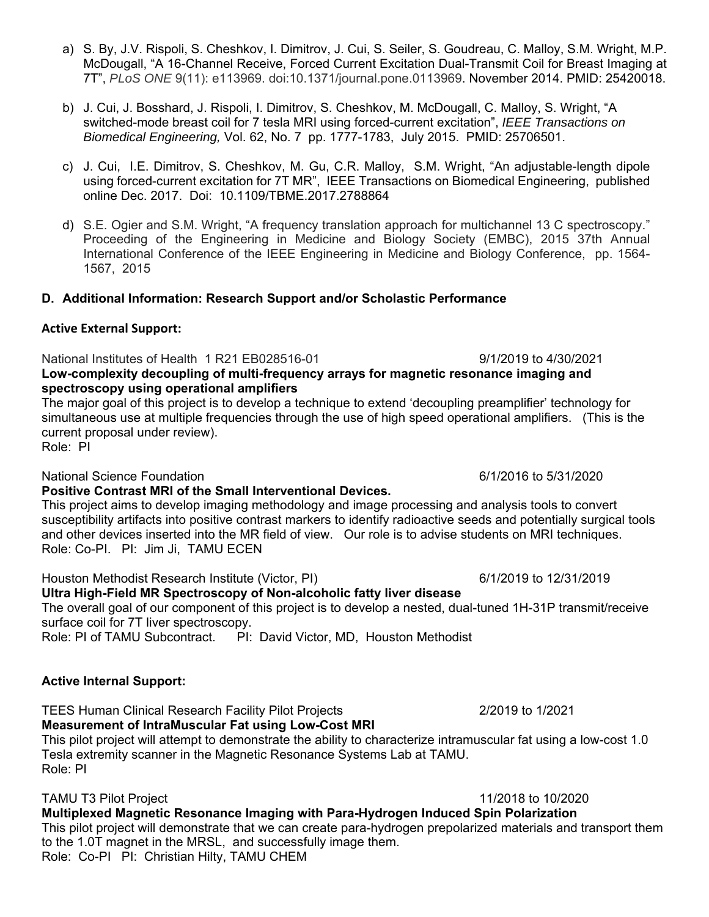- a) S. By, J.V. Rispoli, S. Cheshkov, I. Dimitrov, J. Cui, S. Seiler, S. Goudreau, C. Malloy, S.M. Wright, M.P. McDougall, "A 16-Channel Receive, Forced Current Excitation Dual-Transmit Coil for Breast Imaging at 7T", *PLoS ONE* 9(11): e113969. doi:10.1371/journal.pone.0113969. November 2014. PMID: 25420018.
- b) J. Cui, J. Bosshard, J. Rispoli, I. Dimitrov, S. Cheshkov, M. McDougall, C. Malloy, S. Wright, "A switched-mode breast coil for 7 tesla MRI using forced-current excitation", *IEEE Transactions on Biomedical Engineering,* Vol. 62, No. 7 pp. 1777-1783, July 2015. PMID: 25706501.
- c) J. Cui, I.E. Dimitrov, S. Cheshkov, M. Gu, C.R. Malloy, S.M. Wright, "An adjustable-length dipole using forced-current excitation for 7T MR", IEEE Transactions on Biomedical Engineering, published online Dec. 2017. Doi: 10.1109/TBME.2017.2788864
- d) S.E. Ogier and S.M. Wright, "A frequency translation approach for multichannel 13 C spectroscopy." Proceeding of the Engineering in Medicine and Biology Society (EMBC), 2015 37th Annual International Conference of the IEEE Engineering in Medicine and Biology Conference, pp. 1564- 1567, 2015

## **D. Additional Information: Research Support and/or Scholastic Performance**

## **Active External Support:**

National Institutes of Health 1 R21 EB028516-01 9/1/2019 to 4/30/2021

# **Low-complexity decoupling of multi-frequency arrays for magnetic resonance imaging and spectroscopy using operational amplifiers**

The major goal of this project is to develop a technique to extend 'decoupling preamplifier' technology for simultaneous use at multiple frequencies through the use of high speed operational amplifiers. (This is the current proposal under review).

Role: PI

National Science Foundation 6/1/2016 to 5/31/2020

# **Positive Contrast MRI of the Small Interventional Devices.**

This project aims to develop imaging methodology and image processing and analysis tools to convert susceptibility artifacts into positive contrast markers to identify radioactive seeds and potentially surgical tools and other devices inserted into the MR field of view. Our role is to advise students on MRI techniques. Role: Co-PI. PI: Jim Ji, TAMU ECEN

Houston Methodist Research Institute (Victor, PI) 6/1/2019 to 12/31/2019

**Ultra High-Field MR Spectroscopy of Non-alcoholic fatty liver disease** The overall goal of our component of this project is to develop a nested, dual-tuned 1H-31P transmit/receive surface coil for 7T liver spectroscopy.

Role: PI of TAMU Subcontract. PI: David Victor, MD, Houston Methodist

# **Active Internal Support:**

TEES Human Clinical Research Facility Pilot Projects 2/2019 to 1/2021

# **Measurement of IntraMuscular Fat using Low-Cost MRI**

This pilot project will attempt to demonstrate the ability to characterize intramuscular fat using a low-cost 1.0 Tesla extremity scanner in the Magnetic Resonance Systems Lab at TAMU. Role: PI

# TAMU T3 Pilot Project 11/2018 to 10/2020

# **Multiplexed Magnetic Resonance Imaging with Para-Hydrogen Induced Spin Polarization**

This pilot project will demonstrate that we can create para-hydrogen prepolarized materials and transport them to the 1.0T magnet in the MRSL, and successfully image them. Role: Co-PI PI: Christian Hilty, TAMU CHEM